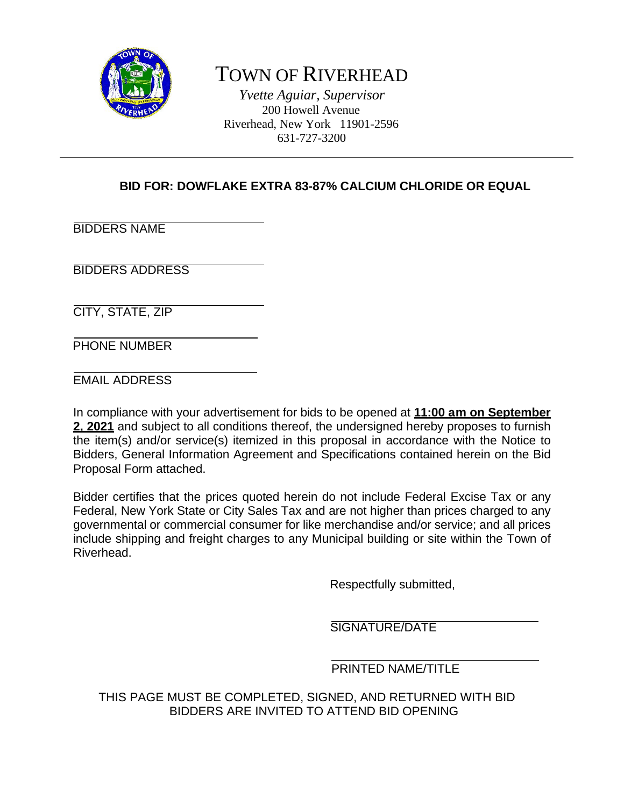

# TOWN OF RIVERHEAD

*Yvette Aguiar, Supervisor* 200 Howell Avenue Riverhead, New York 11901-2596 631-727-3200

# **BID FOR: DOWFLAKE EXTRA 83-87% CALCIUM CHLORIDE OR EQUAL**

BIDDERS NAME

BIDDERS ADDRESS

CITY, STATE, ZIP

PHONE NUMBER

EMAIL ADDRESS

In compliance with your advertisement for bids to be opened at **11:00 am on September 2, 2021** and subject to all conditions thereof, the undersigned hereby proposes to furnish the item(s) and/or service(s) itemized in this proposal in accordance with the Notice to Bidders, General Information Agreement and Specifications contained herein on the Bid Proposal Form attached.

Bidder certifies that the prices quoted herein do not include Federal Excise Tax or any Federal, New York State or City Sales Tax and are not higher than prices charged to any governmental or commercial consumer for like merchandise and/or service; and all prices include shipping and freight charges to any Municipal building or site within the Town of Riverhead.

Respectfully submitted,

SIGNATURE/DATE

# PRINTED NAME/TITLE

THIS PAGE MUST BE COMPLETED, SIGNED, AND RETURNED WITH BID BIDDERS ARE INVITED TO ATTEND BID OPENING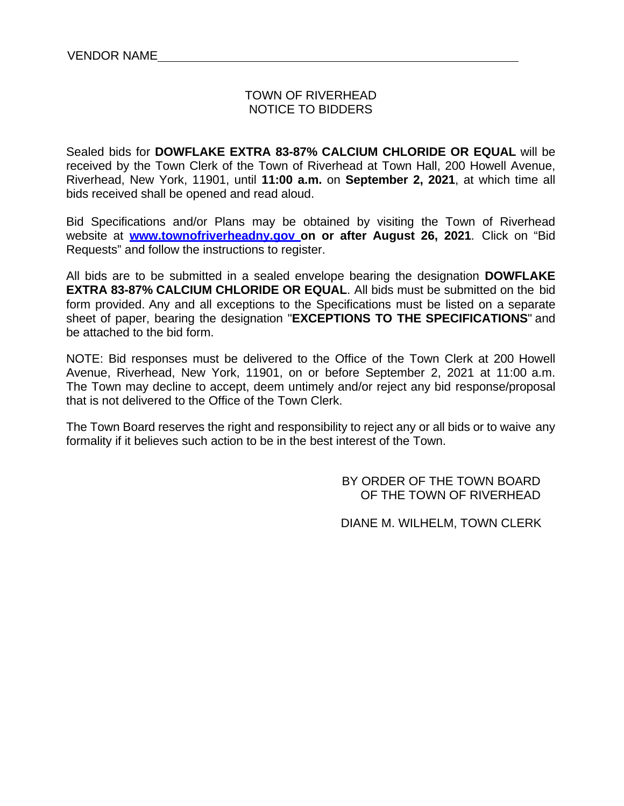#### TOWN OF RIVERHEAD NOTICE TO BIDDERS

Sealed bids for **DOWFLAKE EXTRA 83-87% CALCIUM CHLORIDE OR EQUAL** will be received by the Town Clerk of the Town of Riverhead at Town Hall, 200 Howell Avenue, Riverhead, New York, 11901, until **11:00 a.m.** on **September 2, 2021**, at which time all bids received shall be opened and read aloud.

Bid Specifications and/or Plans may be obtained by visiting the Town of Riverhead website at **www.townofriverheadny.gov on or after August 26, 2021**. Click on "Bid Requests" and follow the instructions to register.

All bids are to be submitted in a sealed envelope bearing the designation **DOWFLAKE EXTRA 83-87% CALCIUM CHLORIDE OR EQUAL**. All bids must be submitted on the bid form provided. Any and all exceptions to the Specifications must be listed on a separate sheet of paper, bearing the designation "**EXCEPTIONS TO THE SPECIFICATIONS**" and be attached to the bid form.

NOTE: Bid responses must be delivered to the Office of the Town Clerk at 200 Howell Avenue, Riverhead, New York, 11901, on or before September 2, 2021 at 11:00 a.m. The Town may decline to accept, deem untimely and/or reject any bid response/proposal that is not delivered to the Office of the Town Clerk.

The Town Board reserves the right and responsibility to reject any or all bids or to waive any formality if it believes such action to be in the best interest of the Town.

> BY ORDER OF THE TOWN BOARD OF THE TOWN OF RIVERHEAD

> DIANE M. WILHELM, TOWN CLERK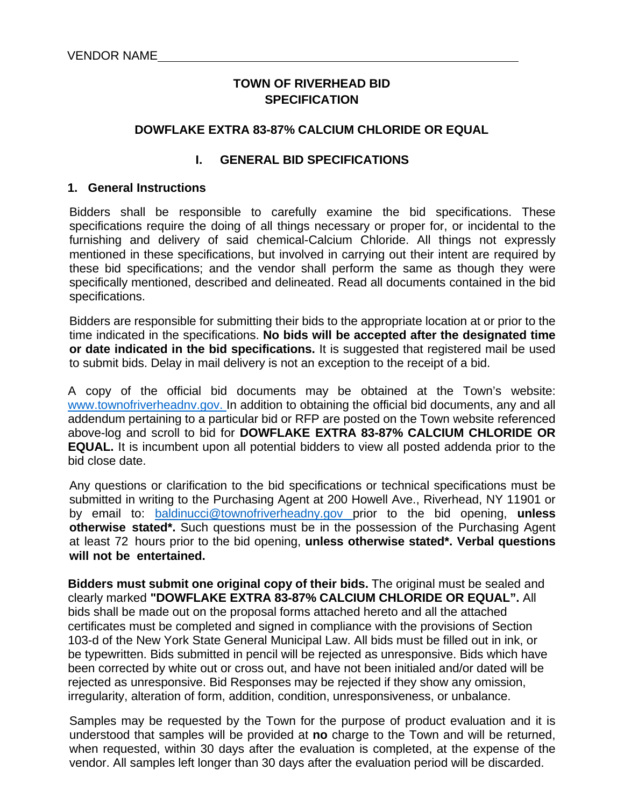# **TOWN OF RIVERHEAD BID SPECIFICATION**

#### **DOWFLAKE EXTRA 83-87% CALCIUM CHLORIDE OR EQUAL**

#### **I. GENERAL BID SPECIFICATIONS**

#### **1. General Instructions**

Bidders shall be responsible to carefully examine the bid specifications. These specifications require the doing of all things necessary or proper for, or incidental to the furnishing and delivery of said chemical-Calcium Chloride. All things not expressly mentioned in these specifications, but involved in carrying out their intent are required by these bid specifications; and the vendor shall perform the same as though they were specifically mentioned, described and delineated. Read all documents contained in the bid specifications.

Bidders are responsible for submitting their bids to the appropriate location at or prior to the time indicated in the specifications. **No bids will be accepted after the designated time or date indicated in the bid specifications.** It is suggested that registered mail be used to submit bids. Delay in mail delivery is not an exception to the receipt of a bid.

A copy of the official bid documents may be obtained at the Town's website: www.townofriverheadnv.gov. In addition to obtaining the official bid documents, any and all addendum pertaining to a particular bid or RFP are posted on the Town website referenced above-log and scroll to bid for **DOWFLAKE EXTRA 83-87% CALCIUM CHLORIDE OR EQUAL.** It is incumbent upon all potential bidders to view all posted addenda prior to the bid close date.

Any questions or clarification to the bid specifications or technical specifications must be submitted in writing to the Purchasing Agent at 200 Howell Ave., Riverhead, NY 11901 or by email to: baldinucci@townofriverheadny.gov prior to the bid opening, **unless otherwise stated\*.** Such questions must be in the possession of the Purchasing Agent at least 72 hours prior to the bid opening, **unless otherwise stated\*. Verbal questions will not be entertained.**

**Bidders must submit one original copy of their bids.** The original must be sealed and clearly marked **"DOWFLAKE EXTRA 83-87% CALCIUM CHLORIDE OR EQUAL".** All bids shall be made out on the proposal forms attached hereto and all the attached certificates must be completed and signed in compliance with the provisions of Section 103-d of the New York State General Municipal Law. All bids must be filled out in ink, or be typewritten. Bids submitted in pencil will be rejected as unresponsive. Bids which have been corrected by white out or cross out, and have not been initialed and/or dated will be rejected as unresponsive. Bid Responses may be rejected if they show any omission, irregularity, alteration of form, addition, condition, unresponsiveness, or unbalance.

Samples may be requested by the Town for the purpose of product evaluation and it is understood that samples will be provided at **no** charge to the Town and will be returned, when requested, within 30 days after the evaluation is completed, at the expense of the vendor. All samples left longer than 30 days after the evaluation period will be discarded.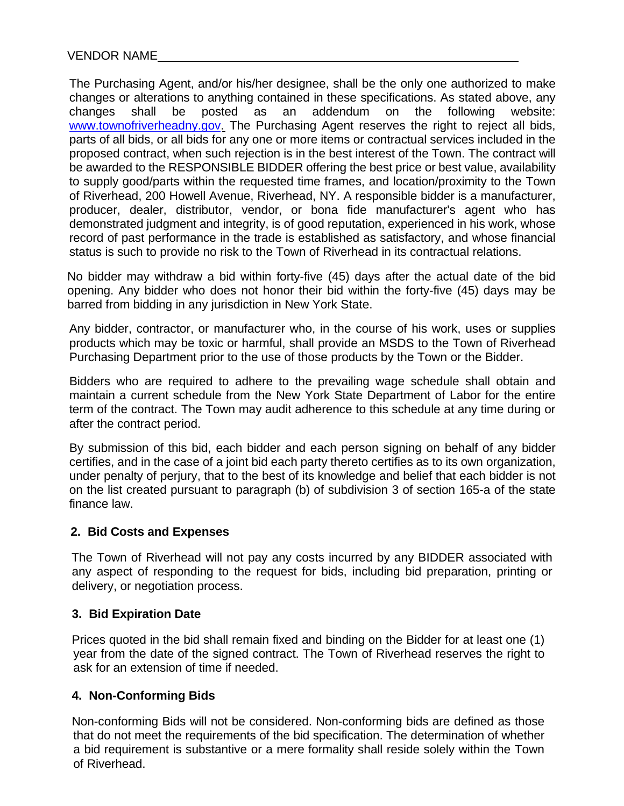The Purchasing Agent, and/or his/her designee, shall be the only one authorized to make changes or alterations to anything contained in these specifications. As stated above, any changes shall be posted as an addendum on the following website: www.townofriverheadny.gov. The Purchasing Agent reserves the right to reject all bids, parts of all bids, or all bids for any one or more items or contractual services included in the proposed contract, when such rejection is in the best interest of the Town. The contract will be awarded to the RESPONSIBLE BIDDER offering the best price or best value, availability to supply good/parts within the requested time frames, and location/proximity to the Town of Riverhead, 200 Howell Avenue, Riverhead, NY. A responsible bidder is a manufacturer, producer, dealer, distributor, vendor, or bona fide manufacturer's agent who has demonstrated judgment and integrity, is of good reputation, experienced in his work, whose record of past performance in the trade is established as satisfactory, and whose financial status is such to provide no risk to the Town of Riverhead in its contractual relations.

No bidder may withdraw a bid within forty-five (45) days after the actual date of the bid opening. Any bidder who does not honor their bid within the forty-five (45) days may be barred from bidding in any jurisdiction in New York State.

Any bidder, contractor, or manufacturer who, in the course of his work, uses or supplies products which may be toxic or harmful, shall provide an MSDS to the Town of Riverhead Purchasing Department prior to the use of those products by the Town or the Bidder.

Bidders who are required to adhere to the prevailing wage schedule shall obtain and maintain a current schedule from the New York State Department of Labor for the entire term of the contract. The Town may audit adherence to this schedule at any time during or after the contract period.

By submission of this bid, each bidder and each person signing on behalf of any bidder certifies, and in the case of a joint bid each party thereto certifies as to its own organization, under penalty of perjury, that to the best of its knowledge and belief that each bidder is not on the list created pursuant to paragraph (b) of subdivision 3 of section 165-a of the state finance law.

#### **2. Bid Costs and Expenses**

The Town of Riverhead will not pay any costs incurred by any BIDDER associated with any aspect of responding to the request for bids, including bid preparation, printing or delivery, or negotiation process.

#### **3. Bid Expiration Date**

Prices quoted in the bid shall remain fixed and binding on the Bidder for at least one (1) year from the date of the signed contract. The Town of Riverhead reserves the right to ask for an extension of time if needed.

# **4. Non-Conforming Bids**

Non-conforming Bids will not be considered. Non-conforming bids are defined as those that do not meet the requirements of the bid specification. The determination of whether a bid requirement is substantive or a mere formality shall reside solely within the Town of Riverhead.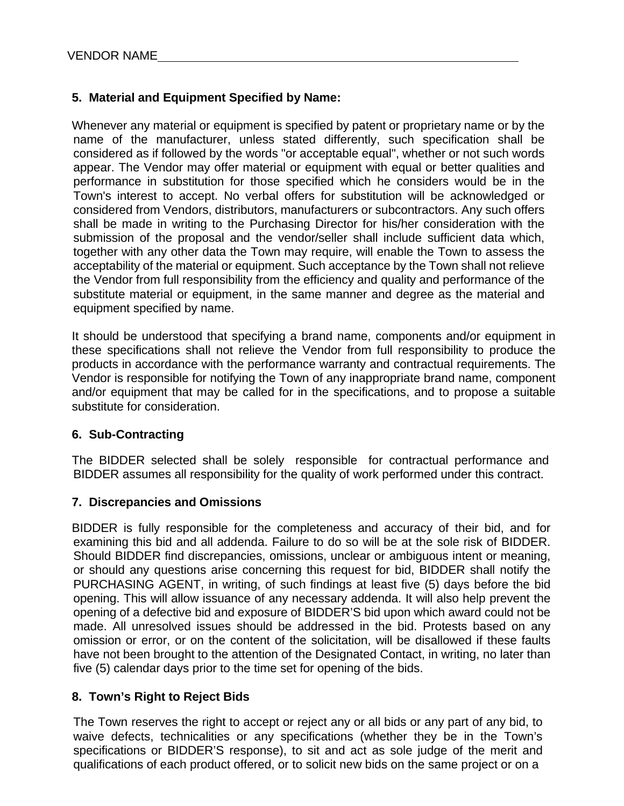# **5. Material and Equipment Specified by Name:**

Whenever any material or equipment is specified by patent or proprietary name or by the name of the manufacturer, unless stated differently, such specification shall be considered as if followed by the words "or acceptable equal", whether or not such words appear. The Vendor may offer material or equipment with equal or better qualities and performance in substitution for those specified which he considers would be in the Town's interest to accept. No verbal offers for substitution will be acknowledged or considered from Vendors, distributors, manufacturers or subcontractors. Any such offers shall be made in writing to the Purchasing Director for his/her consideration with the submission of the proposal and the vendor/seller shall include sufficient data which, together with any other data the Town may require, will enable the Town to assess the acceptability of the material or equipment. Such acceptance by the Town shall not relieve the Vendor from full responsibility from the efficiency and quality and performance of the substitute material or equipment, in the same manner and degree as the material and equipment specified by name.

It should be understood that specifying a brand name, components and/or equipment in these specifications shall not relieve the Vendor from full responsibility to produce the products in accordance with the performance warranty and contractual requirements. The Vendor is responsible for notifying the Town of any inappropriate brand name, component and/or equipment that may be called for in the specifications, and to propose a suitable substitute for consideration.

#### **6. Sub-Contracting**

The BIDDER selected shall be solely responsible for contractual performance and BIDDER assumes all responsibility for the quality of work performed under this contract.

#### **7. Discrepancies and Omissions**

BIDDER is fully responsible for the completeness and accuracy of their bid, and for examining this bid and all addenda. Failure to do so will be at the sole risk of BIDDER. Should BIDDER find discrepancies, omissions, unclear or ambiguous intent or meaning, or should any questions arise concerning this request for bid, BIDDER shall notify the PURCHASING AGENT, in writing, of such findings at least five (5) days before the bid opening. This will allow issuance of any necessary addenda. It will also help prevent the opening of a defective bid and exposure of BIDDER'S bid upon which award could not be made. All unresolved issues should be addressed in the bid. Protests based on any omission or error, or on the content of the solicitation, will be disallowed if these faults have not been brought to the attention of the Designated Contact, in writing, no later than five (5) calendar days prior to the time set for opening of the bids.

#### **8. Town's Right to Reject Bids**

The Town reserves the right to accept or reject any or all bids or any part of any bid, to waive defects, technicalities or any specifications (whether they be in the Town's specifications or BIDDER'S response), to sit and act as sole judge of the merit and qualifications of each product offered, or to solicit new bids on the same project or on a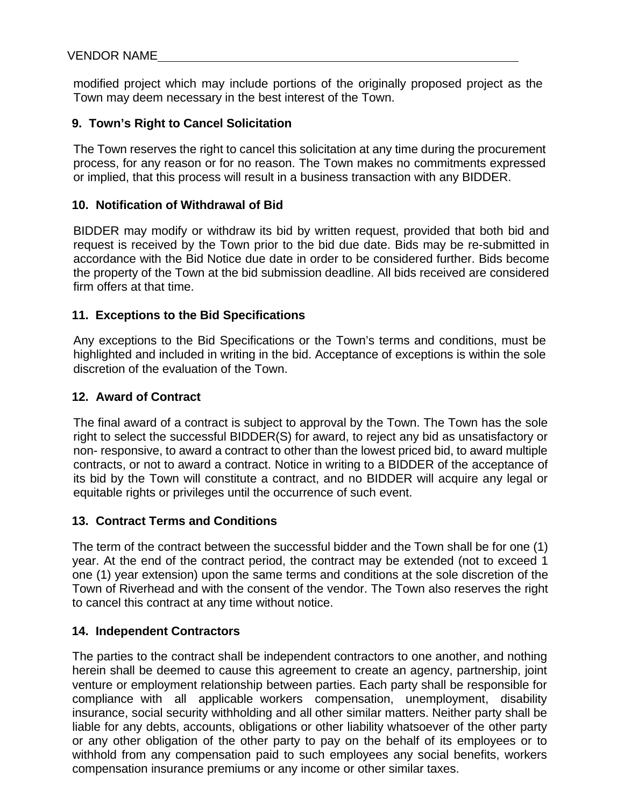modified project which may include portions of the originally proposed project as the Town may deem necessary in the best interest of the Town.

### **9. Town's Right to Cancel Solicitation**

The Town reserves the right to cancel this solicitation at any time during the procurement process, for any reason or for no reason. The Town makes no commitments expressed or implied, that this process will result in a business transaction with any BIDDER.

#### **10. Notification of Withdrawal of Bid**

BIDDER may modify or withdraw its bid by written request, provided that both bid and request is received by the Town prior to the bid due date. Bids may be re-submitted in accordance with the Bid Notice due date in order to be considered further. Bids become the property of the Town at the bid submission deadline. All bids received are considered firm offers at that time.

# **11. Exceptions to the Bid Specifications**

Any exceptions to the Bid Specifications or the Town's terms and conditions, must be highlighted and included in writing in the bid. Acceptance of exceptions is within the sole discretion of the evaluation of the Town.

# **12. Award of Contract**

The final award of a contract is subject to approval by the Town. The Town has the sole right to select the successful BIDDER(S) for award, to reject any bid as unsatisfactory or non- responsive, to award a contract to other than the lowest priced bid, to award multiple contracts, or not to award a contract. Notice in writing to a BIDDER of the acceptance of its bid by the Town will constitute a contract, and no BIDDER will acquire any legal or equitable rights or privileges until the occurrence of such event.

#### **13. Contract Terms and Conditions**

The term of the contract between the successful bidder and the Town shall be for one (1) year. At the end of the contract period, the contract may be extended (not to exceed 1 one (1) year extension) upon the same terms and conditions at the sole discretion of the Town of Riverhead and with the consent of the vendor. The Town also reserves the right to cancel this contract at any time without notice.

#### **14. Independent Contractors**

The parties to the contract shall be independent contractors to one another, and nothing herein shall be deemed to cause this agreement to create an agency, partnership, joint venture or employment relationship between parties. Each party shall be responsible for compliance with all applicable workers compensation, unemployment, disability insurance, social security withholding and all other similar matters. Neither party shall be liable for any debts, accounts, obligations or other liability whatsoever of the other party or any other obligation of the other party to pay on the behalf of its employees or to withhold from any compensation paid to such employees any social benefits, workers compensation insurance premiums or any income or other similar taxes.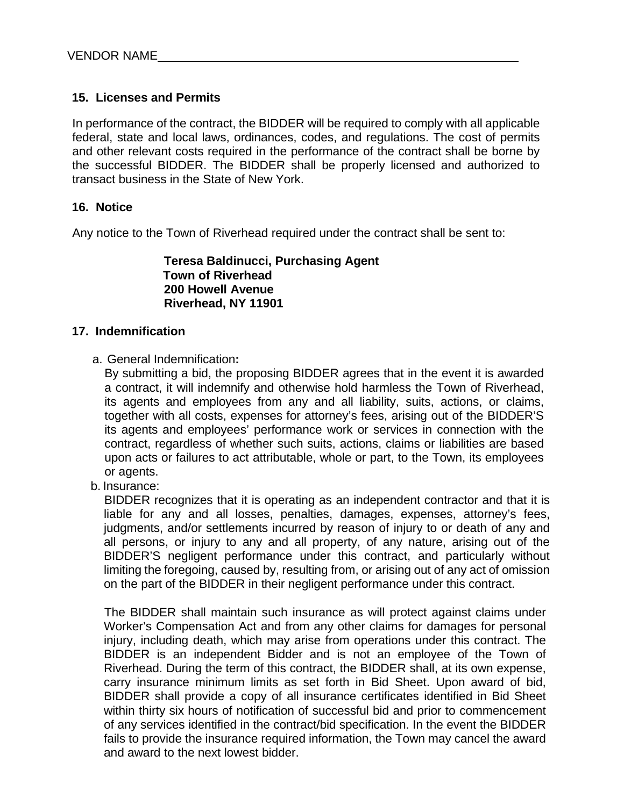# **15. Licenses and Permits**

In performance of the contract, the BIDDER will be required to comply with all applicable federal, state and local laws, ordinances, codes, and regulations. The cost of permits and other relevant costs required in the performance of the contract shall be borne by the successful BIDDER. The BIDDER shall be properly licensed and authorized to transact business in the State of New York.

#### **16. Notice**

Any notice to the Town of Riverhead required under the contract shall be sent to:

**Teresa Baldinucci, Purchasing Agent Town of Riverhead 200 Howell Avenue Riverhead, NY 11901**

#### **17. Indemnification**

a. General Indemnification**:**

By submitting a bid, the proposing BIDDER agrees that in the event it is awarded a contract, it will indemnify and otherwise hold harmless the Town of Riverhead, its agents and employees from any and all liability, suits, actions, or claims, together with all costs, expenses for attorney's fees, arising out of the BIDDER'S its agents and employees' performance work or services in connection with the contract, regardless of whether such suits, actions, claims or liabilities are based upon acts or failures to act attributable, whole or part, to the Town, its employees or agents.

b. Insurance:

BIDDER recognizes that it is operating as an independent contractor and that it is liable for any and all losses, penalties, damages, expenses, attorney's fees, judgments, and/or settlements incurred by reason of injury to or death of any and all persons, or injury to any and all property, of any nature, arising out of the BIDDER'S negligent performance under this contract, and particularly without limiting the foregoing, caused by, resulting from, or arising out of any act of omission on the part of the BIDDER in their negligent performance under this contract.

The BIDDER shall maintain such insurance as will protect against claims under Worker's Compensation Act and from any other claims for damages for personal injury, including death, which may arise from operations under this contract. The BIDDER is an independent Bidder and is not an employee of the Town of Riverhead. During the term of this contract, the BIDDER shall, at its own expense, carry insurance minimum limits as set forth in Bid Sheet. Upon award of bid, BIDDER shall provide a copy of all insurance certificates identified in Bid Sheet within thirty six hours of notification of successful bid and prior to commencement of any services identified in the contract/bid specification. In the event the BIDDER fails to provide the insurance required information, the Town may cancel the award and award to the next lowest bidder.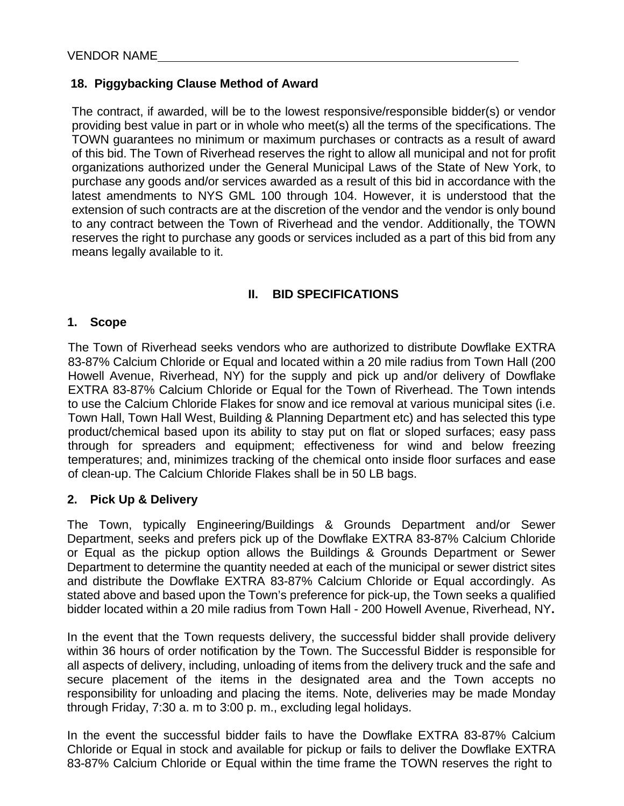# **18. Piggybacking Clause Method of Award**

The contract, if awarded, will be to the lowest responsive/responsible bidder(s) or vendor providing best value in part or in whole who meet(s) all the terms of the specifications. The TOWN guarantees no minimum or maximum purchases or contracts as a result of award of this bid. The Town of Riverhead reserves the right to allow all municipal and not for profit organizations authorized under the General Municipal Laws of the State of New York, to purchase any goods and/or services awarded as a result of this bid in accordance with the latest amendments to NYS GML 100 through 104. However, it is understood that the extension of such contracts are at the discretion of the vendor and the vendor is only bound to any contract between the Town of Riverhead and the vendor. Additionally, the TOWN reserves the right to purchase any goods or services included as a part of this bid from any means legally available to it.

# **II. BID SPECIFICATIONS**

#### **1. Scope**

The Town of Riverhead seeks vendors who are authorized to distribute Dowflake EXTRA 83-87% Calcium Chloride or Equal and located within a 20 mile radius from Town Hall (200 Howell Avenue, Riverhead, NY) for the supply and pick up and/or delivery of Dowflake EXTRA 83-87% Calcium Chloride or Equal for the Town of Riverhead. The Town intends to use the Calcium Chloride Flakes for snow and ice removal at various municipal sites (i.e. Town Hall, Town Hall West, Building & Planning Department etc) and has selected this type product/chemical based upon its ability to stay put on flat or sloped surfaces; easy pass through for spreaders and equipment; effectiveness for wind and below freezing temperatures; and, minimizes tracking of the chemical onto inside floor surfaces and ease of clean-up. The Calcium Chloride Flakes shall be in 50 LB bags.

#### **2. Pick Up & Delivery**

The Town, typically Engineering/Buildings & Grounds Department and/or Sewer Department, seeks and prefers pick up of the Dowflake EXTRA 83-87% Calcium Chloride or Equal as the pickup option allows the Buildings & Grounds Department or Sewer Department to determine the quantity needed at each of the municipal or sewer district sites and distribute the Dowflake EXTRA 83-87% Calcium Chloride or Equal accordingly. As stated above and based upon the Town's preference for pick-up, the Town seeks a qualified bidder located within a 20 mile radius from Town Hall - 200 Howell Avenue, Riverhead, NY**.**

In the event that the Town requests delivery, the successful bidder shall provide delivery within 36 hours of order notification by the Town. The Successful Bidder is responsible for all aspects of delivery, including, unloading of items from the delivery truck and the safe and secure placement of the items in the designated area and the Town accepts no responsibility for unloading and placing the items. Note, deliveries may be made Monday through Friday, 7:30 a. m to 3:00 p. m., excluding legal holidays.

In the event the successful bidder fails to have the Dowflake EXTRA 83-87% Calcium Chloride or Equal in stock and available for pickup or fails to deliver the Dowflake EXTRA 83-87% Calcium Chloride or Equal within the time frame the TOWN reserves the right to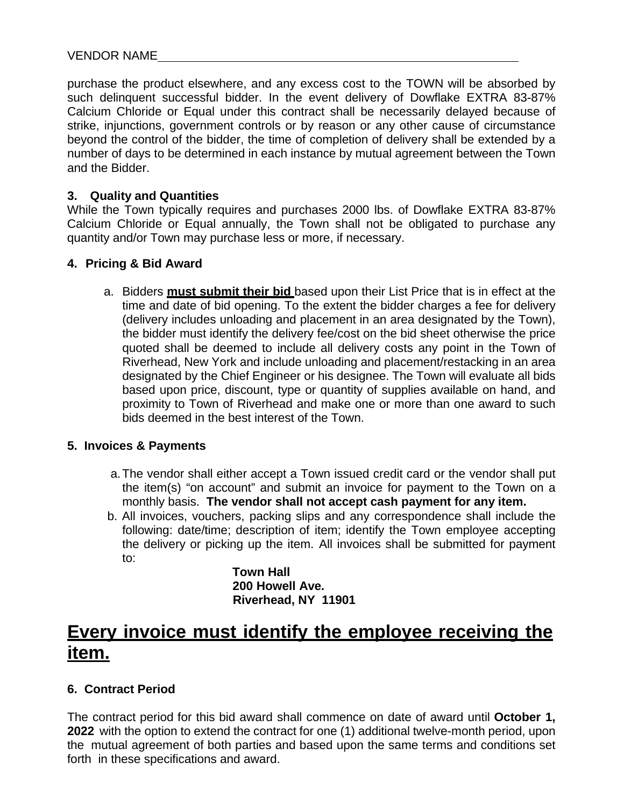purchase the product elsewhere, and any excess cost to the TOWN will be absorbed by such delinquent successful bidder. In the event delivery of Dowflake EXTRA 83-87% Calcium Chloride or Equal under this contract shall be necessarily delayed because of strike, injunctions, government controls or by reason or any other cause of circumstance beyond the control of the bidder, the time of completion of delivery shall be extended by a number of days to be determined in each instance by mutual agreement between the Town and the Bidder.

#### **3. Quality and Quantities**

While the Town typically requires and purchases 2000 lbs. of Dowflake EXTRA 83-87% Calcium Chloride or Equal annually, the Town shall not be obligated to purchase any quantity and/or Town may purchase less or more, if necessary.

#### **4. Pricing & Bid Award**

a. Bidders **must submit their bid** based upon their List Price that is in effect at the time and date of bid opening. To the extent the bidder charges a fee for delivery (delivery includes unloading and placement in an area designated by the Town), the bidder must identify the delivery fee/cost on the bid sheet otherwise the price quoted shall be deemed to include all delivery costs any point in the Town of Riverhead, New York and include unloading and placement/restacking in an area designated by the Chief Engineer or his designee. The Town will evaluate all bids based upon price, discount, type or quantity of supplies available on hand, and proximity to Town of Riverhead and make one or more than one award to such bids deemed in the best interest of the Town.

#### **5. Invoices & Payments**

- a. The vendor shall either accept a Town issued credit card or the vendor shall put the item(s) "on account" and submit an invoice for payment to the Town on a monthly basis. **The vendor shall not accept cash payment for any item.**
- b. All invoices, vouchers, packing slips and any correspondence shall include the following: date/time; description of item; identify the Town employee accepting the delivery or picking up the item. All invoices shall be submitted for payment to:

**Town Hall 200 Howell Ave. Riverhead, NY 11901**

# **Every invoice must identify the employee receiving the item.**

#### **6. Contract Period**

The contract period for this bid award shall commence on date of award until **October 1, 2022** with the option to extend the contract for one (1) additional twelve-month period, upon the mutual agreement of both parties and based upon the same terms and conditions set forth in these specifications and award.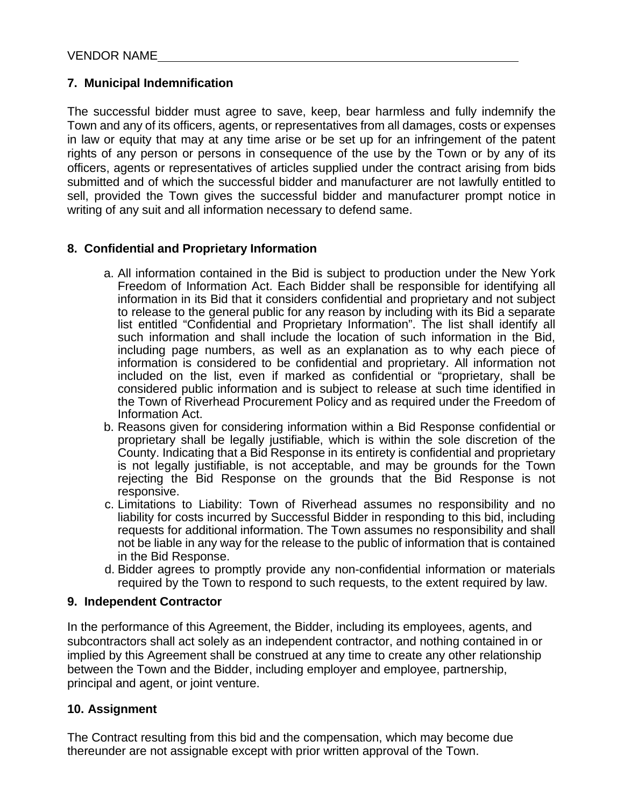# **7. Municipal Indemnification**

The successful bidder must agree to save, keep, bear harmless and fully indemnify the Town and any of its officers, agents, or representatives from all damages, costs or expenses in law or equity that may at any time arise or be set up for an infringement of the patent rights of any person or persons in consequence of the use by the Town or by any of its officers, agents or representatives of articles supplied under the contract arising from bids submitted and of which the successful bidder and manufacturer are not lawfully entitled to sell, provided the Town gives the successful bidder and manufacturer prompt notice in writing of any suit and all information necessary to defend same.

# **8. Confidential and Proprietary Information**

- a. All information contained in the Bid is subject to production under the New York Freedom of Information Act. Each Bidder shall be responsible for identifying all information in its Bid that it considers confidential and proprietary and not subject to release to the general public for any reason by including with its Bid a separate list entitled "Confidential and Proprietary Information". The list shall identify all such information and shall include the location of such information in the Bid, including page numbers, as well as an explanation as to why each piece of information is considered to be confidential and proprietary. All information not included on the list, even if marked as confidential or "proprietary, shall be considered public information and is subject to release at such time identified in the Town of Riverhead Procurement Policy and as required under the Freedom of Information Act.
- b. Reasons given for considering information within a Bid Response confidential or proprietary shall be legally justifiable, which is within the sole discretion of the County. Indicating that a Bid Response in its entirety is confidential and proprietary is not legally justifiable, is not acceptable, and may be grounds for the Town rejecting the Bid Response on the grounds that the Bid Response is not responsive.
- c. Limitations to Liability: Town of Riverhead assumes no responsibility and no liability for costs incurred by Successful Bidder in responding to this bid, including requests for additional information. The Town assumes no responsibility and shall not be liable in any way for the release to the public of information that is contained in the Bid Response.
- d. Bidder agrees to promptly provide any non-confidential information or materials required by the Town to respond to such requests, to the extent required by law.

#### **9. Independent Contractor**

In the performance of this Agreement, the Bidder, including its employees, agents, and subcontractors shall act solely as an independent contractor, and nothing contained in or implied by this Agreement shall be construed at any time to create any other relationship between the Town and the Bidder, including employer and employee, partnership, principal and agent, or joint venture.

#### **10. Assignment**

The Contract resulting from this bid and the compensation, which may become due thereunder are not assignable except with prior written approval of the Town.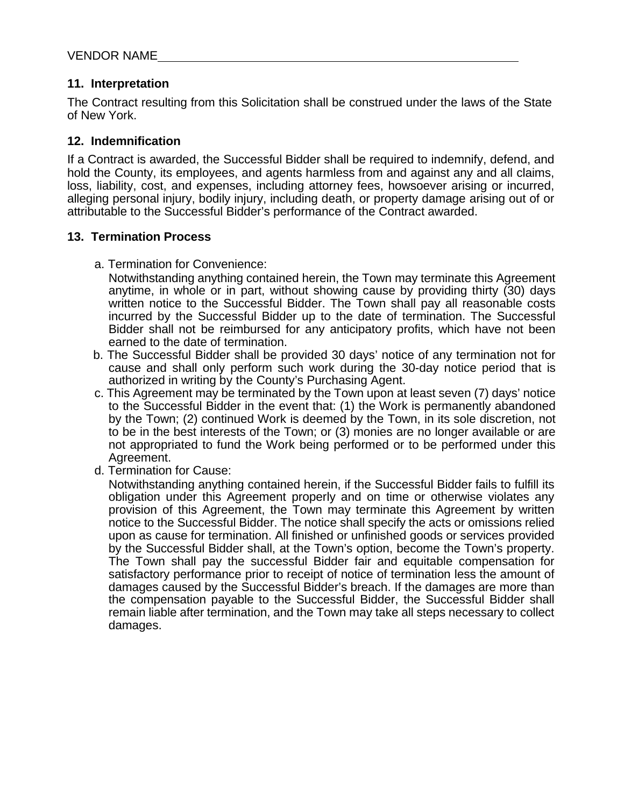#### **11. Interpretation**

The Contract resulting from this Solicitation shall be construed under the laws of the State of New York.

#### **12. Indemnification**

If a Contract is awarded, the Successful Bidder shall be required to indemnify, defend, and hold the County, its employees, and agents harmless from and against any and all claims, loss, liability, cost, and expenses, including attorney fees, howsoever arising or incurred, alleging personal injury, bodily injury, including death, or property damage arising out of or attributable to the Successful Bidder's performance of the Contract awarded.

# **13. Termination Process**

a. Termination for Convenience:

Notwithstanding anything contained herein, the Town may terminate this Agreement anytime, in whole or in part, without showing cause by providing thirty (30) days written notice to the Successful Bidder. The Town shall pay all reasonable costs incurred by the Successful Bidder up to the date of termination. The Successful Bidder shall not be reimbursed for any anticipatory profits, which have not been earned to the date of termination.

- b. The Successful Bidder shall be provided 30 days' notice of any termination not for cause and shall only perform such work during the 30-day notice period that is authorized in writing by the County's Purchasing Agent.
- c. This Agreement may be terminated by the Town upon at least seven (7) days' notice to the Successful Bidder in the event that: (1) the Work is permanently abandoned by the Town; (2) continued Work is deemed by the Town, in its sole discretion, not to be in the best interests of the Town; or (3) monies are no longer available or are not appropriated to fund the Work being performed or to be performed under this Agreement.
- d. Termination for Cause:

Notwithstanding anything contained herein, if the Successful Bidder fails to fulfill its obligation under this Agreement properly and on time or otherwise violates any provision of this Agreement, the Town may terminate this Agreement by written notice to the Successful Bidder. The notice shall specify the acts or omissions relied upon as cause for termination. All finished or unfinished goods or services provided by the Successful Bidder shall, at the Town's option, become the Town's property. The Town shall pay the successful Bidder fair and equitable compensation for satisfactory performance prior to receipt of notice of termination less the amount of damages caused by the Successful Bidder's breach. If the damages are more than the compensation payable to the Successful Bidder, the Successful Bidder shall remain liable after termination, and the Town may take all steps necessary to collect damages.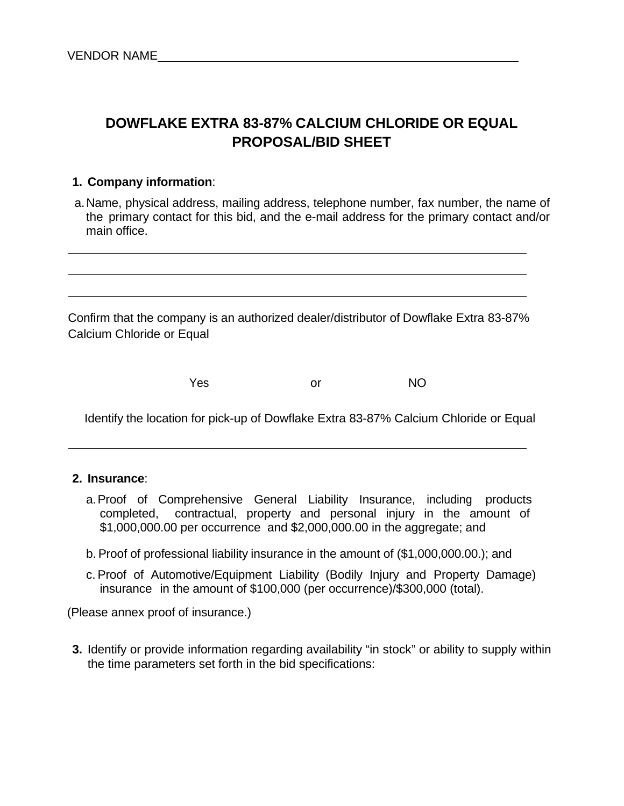# **DOWFLAKE EXTRA 83-87% CALCIUM CHLORIDE OR EQUAL PROPOSAL/BID SHEET**

#### **1. Company information**:

a. Name, physical address, mailing address, telephone number, fax number, the name of the primary contact for this bid, and the e-mail address for the primary contact and/or main office.

Confirm that the company is an authorized dealer/distributor of Dowflake Extra 83-87% Calcium Chloride or Equal

| Yes | or | <b>NO</b> |
|-----|----|-----------|
|-----|----|-----------|

Identify the location for pick-up of Dowflake Extra 83-87% Calcium Chloride or Equal

#### **2. Insurance**:

- a. Proof of Comprehensive General Liability Insurance, including products completed, contractual, property and personal injury in the amount of \$1,000,000.00 per occurrence and \$2,000,000.00 in the aggregate; and
- b. Proof of professional liability insurance in the amount of (\$1,000,000.00.); and
- c. Proof of Automotive/Equipment Liability (Bodily Injury and Property Damage) insurance in the amount of \$100,000 (per occurrence)/\$300,000 (total).

(Please annex proof of insurance.)

**3.** Identify or provide information regarding availability "in stock" or ability to supply within the time parameters set forth in the bid specifications: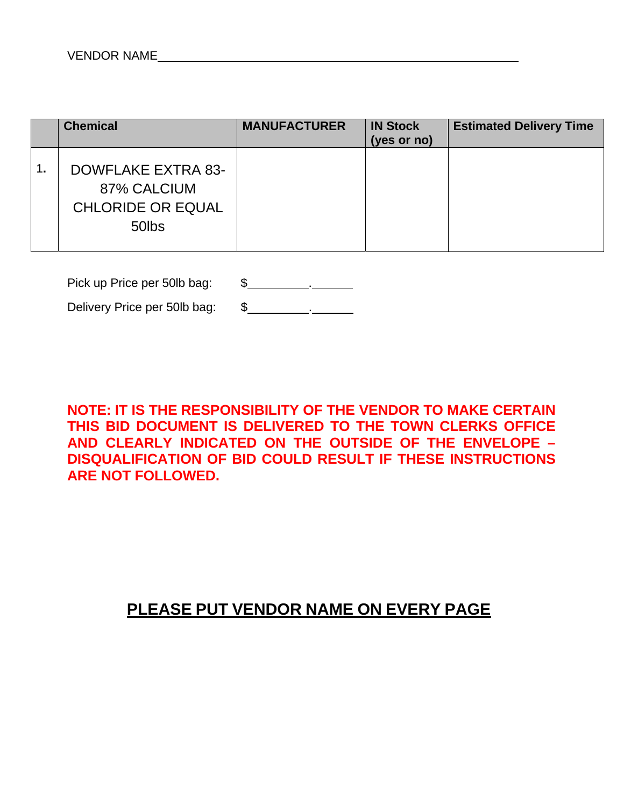|    | <b>Chemical</b>                                                        | <b>MANUFACTURER</b> | <b>IN Stock</b><br>(yes or no) | <b>Estimated Delivery Time</b> |
|----|------------------------------------------------------------------------|---------------------|--------------------------------|--------------------------------|
| 1. | DOWFLAKE EXTRA 83-<br>87% CALCIUM<br><b>CHLORIDE OR EQUAL</b><br>50lbs |                     |                                |                                |

Pick up Price per 50lb bag: \$

Delivery Price per 50lb bag: \$

**NOTE: IT IS THE RESPONSIBILITY OF THE VENDOR TO MAKE CERTAIN THIS BID DOCUMENT IS DELIVERED TO THE TOWN CLERKS OFFICE AND CLEARLY INDICATED ON THE OUTSIDE OF THE ENVELOPE – DISQUALIFICATION OF BID COULD RESULT IF THESE INSTRUCTIONS ARE NOT FOLLOWED.**

# **PLEASE PUT VENDOR NAME ON EVERY PAGE**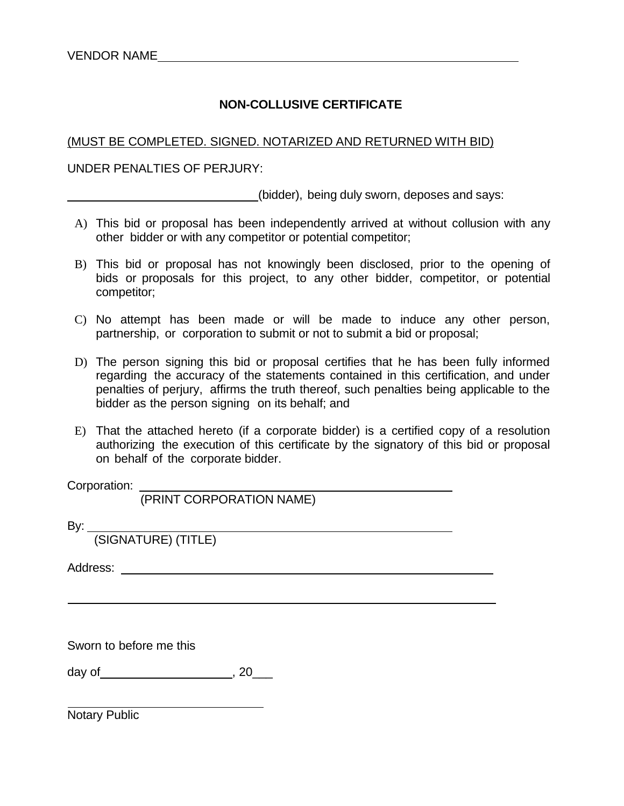# **NON-COLLUSIVE CERTIFICATE**

#### (MUST BE COMPLETED. SIGNED. NOTARIZED AND RETURNED WITH BID)

#### UNDER PENALTIES OF PERJURY:

(bidder), being duly sworn, deposes and says:

- A) This bid or proposal has been independently arrived at without collusion with any other bidder or with any competitor or potential competitor;
- B) This bid or proposal has not knowingly been disclosed, prior to the opening of bids or proposals for this project, to any other bidder, competitor, or potential competitor;
- C) No attempt has been made or will be made to induce any other person, partnership, or corporation to submit or not to submit a bid or proposal;
- D) The person signing this bid or proposal certifies that he has been fully informed regarding the accuracy of the statements contained in this certification, and under penalties of perjury, affirms the truth thereof, such penalties being applicable to the bidder as the person signing on its behalf; and
- E) That the attached hereto (if a corporate bidder) is a certified copy of a resolution authorizing the execution of this certificate by the signatory of this bid or proposal on behalf of the corporate bidder.

Corporation:

(PRINT CORPORATION NAME)

By:

(SIGNATURE) (TITLE)

Address: which is a set of the set of the set of the set of the set of the set of the set of the set of the set of the set of the set of the set of the set of the set of the set of the set of the set of the set of the set

Sworn to before me this

day of , 20\_\_\_

Notary Public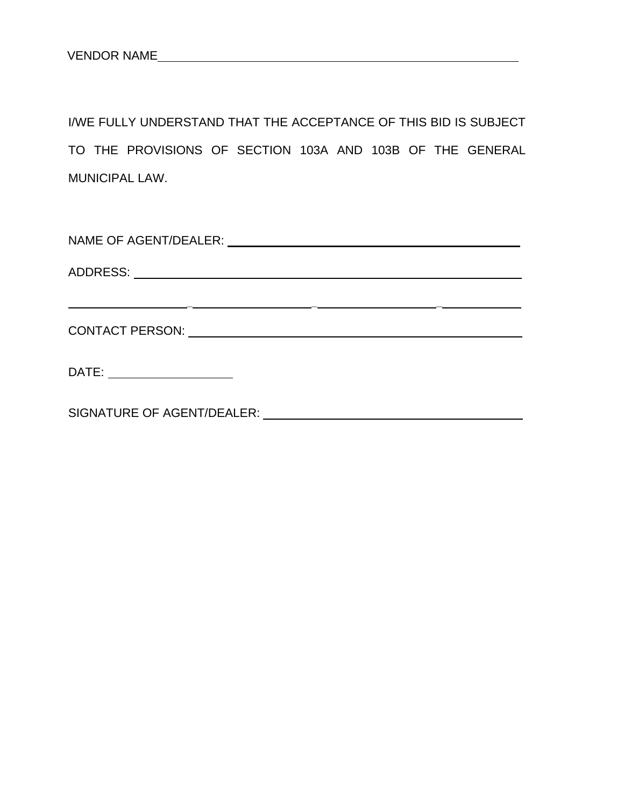I/WE FULLY UNDERSTAND THAT THE ACCEPTANCE OF THIS BID IS SUBJECT TO THE PROVISIONS OF SECTION 103A AND 103B OF THE GENERAL MUNICIPAL LAW.

| CONTACT PERSON: University of the contract of the contract of the contract of the contract of the contract of the contract of the contract of the contract of the contract of the contract of the contract of the contract of |  |  |  |  |  |  |
|-------------------------------------------------------------------------------------------------------------------------------------------------------------------------------------------------------------------------------|--|--|--|--|--|--|
| DATE: _______________________                                                                                                                                                                                                 |  |  |  |  |  |  |

SIGNATURE OF AGENT/DEALER: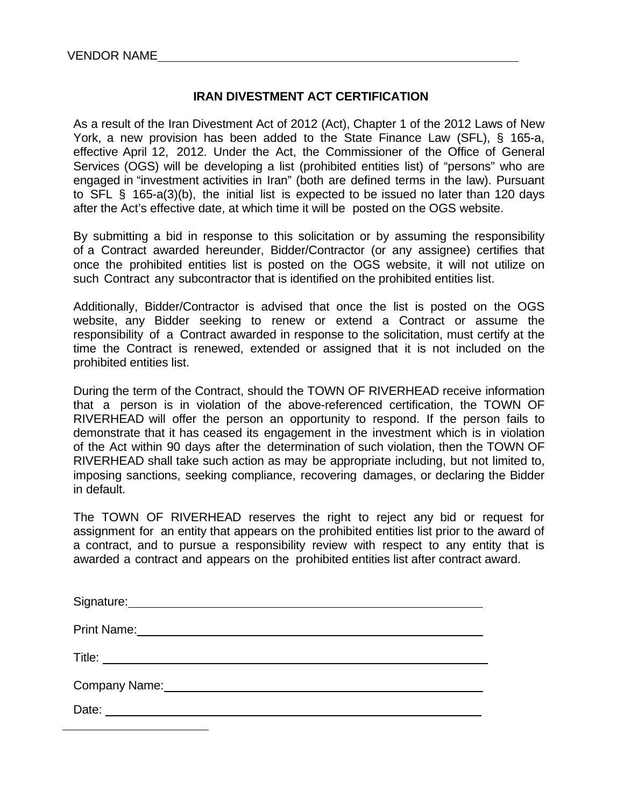$\overline{a}$ 

# **IRAN DIVESTMENT ACT CERTIFICATION**

As a result of the Iran Divestment Act of 2012 (Act), Chapter 1 of the 2012 Laws of New York, a new provision has been added to the State Finance Law (SFL), § 165-a, effective April 12, 2012. Under the Act, the Commissioner of the Office of General Services (OGS) will be developing a list (prohibited entities list) of "persons" who are engaged in "investment activities in Iran" (both are defined terms in the law). Pursuant to SFL § 165-a(3)(b), the initial list is expected to be issued no later than 120 days after the Act's effective date, at which time it will be posted on the OGS website.

By submitting a bid in response to this solicitation or by assuming the responsibility of a Contract awarded hereunder, Bidder/Contractor (or any assignee) certifies that once the prohibited entities list is posted on the OGS website, it will not utilize on such Contract any subcontractor that is identified on the prohibited entities list.

Additionally, Bidder/Contractor is advised that once the list is posted on the OGS website, any Bidder seeking to renew or extend a Contract or assume the responsibility of a Contract awarded in response to the solicitation, must certify at the time the Contract is renewed, extended or assigned that it is not included on the prohibited entities list.

During the term of the Contract, should the TOWN OF RIVERHEAD receive information that a person is in violation of the above-referenced certification, the TOWN OF RIVERHEAD will offer the person an opportunity to respond. If the person fails to demonstrate that it has ceased its engagement in the investment which is in violation of the Act within 90 days after the determination of such violation, then the TOWN OF RIVERHEAD shall take such action as may be appropriate including, but not limited to, imposing sanctions, seeking compliance, recovering damages, or declaring the Bidder in default.

The TOWN OF RIVERHEAD reserves the right to reject any bid or request for assignment for an entity that appears on the prohibited entities list prior to the award of a contract, and to pursue a responsibility review with respect to any entity that is awarded a contract and appears on the prohibited entities list after contract award.

| Signature: <u>Contract Communication</u> |
|------------------------------------------|
| <b>Print Name:</b>                       |
|                                          |
| Company Name:                            |
| Date:                                    |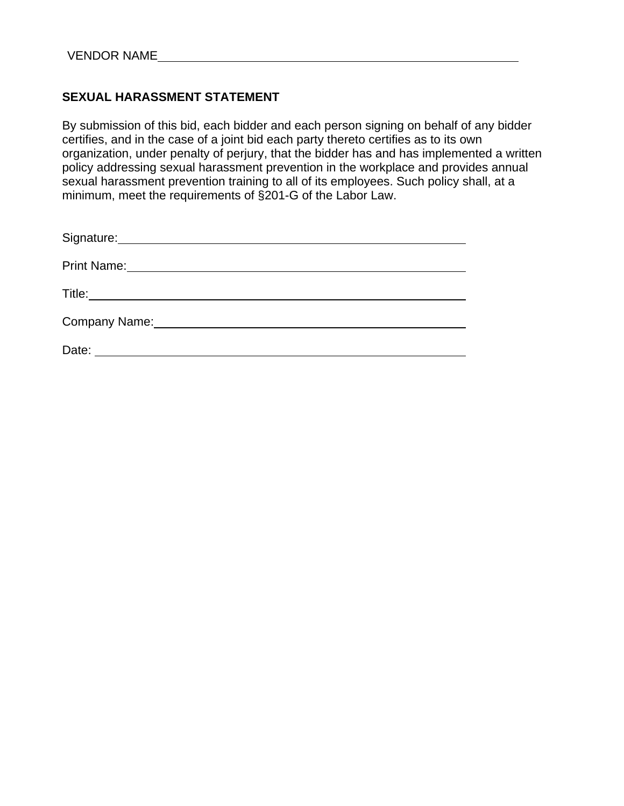# **SEXUAL HARASSMENT STATEMENT**

By submission of this bid, each bidder and each person signing on behalf of any bidder certifies, and in the case of a joint bid each party thereto certifies as to its own organization, under penalty of perjury, that the bidder has and has implemented a written policy addressing sexual harassment prevention in the workplace and provides annual sexual harassment prevention training to all of its employees. Such policy shall, at a minimum, meet the requirements of §201-G of the Labor Law.

| Signature: Management of Signature: |
|-------------------------------------|
|                                     |
|                                     |
| Company Name:                       |
| Date:                               |